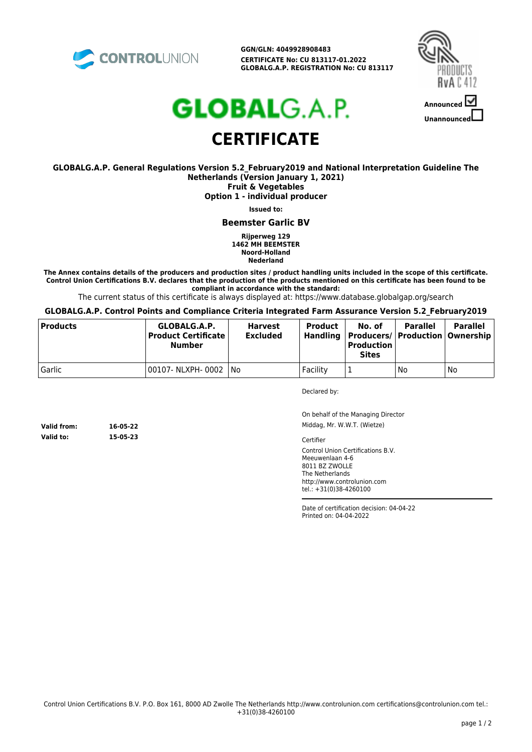

**GGN/GLN: 4049928908483 CERTIFICATE No: CU 813117-01.2022 GLOBALG.A.P. REGISTRATION No: CU 813117**



# **GLOBAL**G.A.P. **CERTIFICATE**

#### **GLOBALG.A.P. General Regulations Version 5.2\_February2019 and National Interpretation Guideline The Netherlands (Version January 1, 2021) Fruit & Vegetables**

**Option 1 - individual producer**

**Issued to:**

**Beemster Garlic BV**

**Rijperweg 129 1462 MH BEEMSTER Noord-Holland Nederland**

**The Annex contains details of the producers and production sites / product handling units included in the scope of this certificate. Control Union Certifications B.V. declares that the production of the products mentioned on this certificate has been found to be compliant in accordance with the standard:**

The current status of this certificate is always displayed at: https://www.database.globalgap.org/search

#### **GLOBALG.A.P. Control Points and Compliance Criteria Integrated Farm Assurance Version 5.2\_February2019**

| <b>Products</b> | GLOBALG.A.P.<br>Product Certificate l<br><b>Number</b> | <b>Harvest</b><br><b>Excluded</b> | <b>Product</b><br>Handling | No. of<br>  Producers/   Production   Ownership  <br><b>Production</b><br><b>Sites</b> | <b>Parallel</b> | <b>Parallel</b> |
|-----------------|--------------------------------------------------------|-----------------------------------|----------------------------|----------------------------------------------------------------------------------------|-----------------|-----------------|
| Garlic          | 00107- NLXPH- 0002   No                                |                                   | Facility                   |                                                                                        | No              | No              |

Declared by:

On behalf of the Managing Director Middag, Mr. W.W.T. (Wietze)

**Valid to: 15-05-23**

**Valid from: 16-05-22**

**Cartifier** 

Control Union Certifications B.V. Meeuwenlaan 4-6 8011 BZ ZWOLLE The Netherlands http://www.controlunion.com tel.: +31(0)38-4260100

Date of certification decision: 04-04-22 Printed on: 04-04-2022